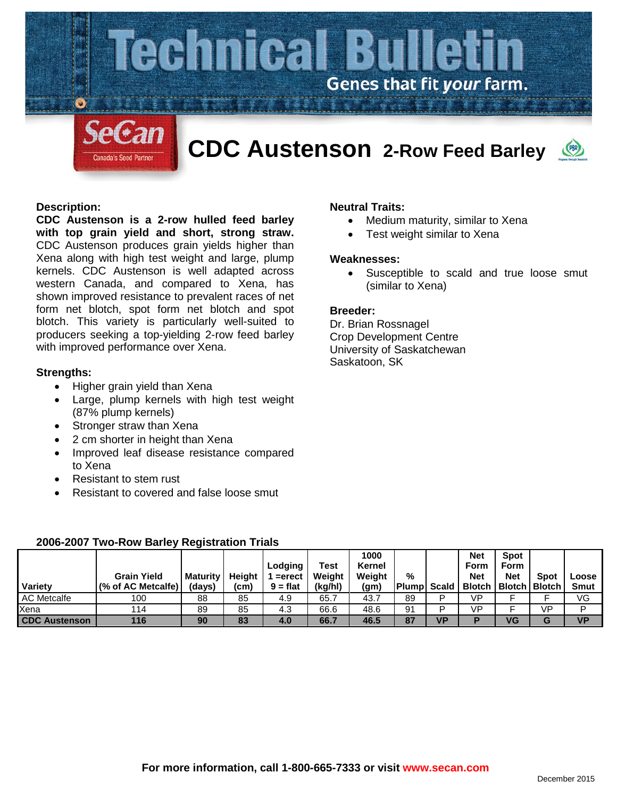

## **Description:**

**CDC Austenson is a 2-row hulled feed barley with top grain yield and short, strong straw.**  CDC Austenson produces grain yields higher than Xena along with high test weight and large, plump kernels. CDC Austenson is well adapted across western Canada, and compared to Xena, has shown improved resistance to prevalent races of net form net blotch, spot form net blotch and spot blotch. This variety is particularly well-suited to producers seeking a top-yielding 2-row feed barley with improved performance over Xena.

#### **Strengths:**

- Higher grain yield than Xena
- Large, plump kernels with high test weight (87% plump kernels)
- Stronger straw than Xena
- 2 cm shorter in height than Xena
- Improved leaf disease resistance compared to Xena
- Resistant to stem rust
- Resistant to covered and false loose smut

## **Neutral Traits:**

- Medium maturity, similar to Xena
- Test weight similar to Xena

# **Weaknesses:**

Susceptible to scald and true loose smut (similar to Xena)

#### **Breeder:**

Dr. Brian Rossnagel Crop Development Centre University of Saskatchewan Saskatoon, SK

|                      | <b>Grain Yield</b> | Maturity | Heiaht | Lodging<br>$=$ erect | Test<br>Weight | 1000<br>Kernel<br>Weight | %            |              | <b>Net</b><br>Form<br><b>Net</b> | <b>Spot</b><br><b>Form</b><br><b>Net</b> | <b>Spot</b> | Loose       |
|----------------------|--------------------|----------|--------|----------------------|----------------|--------------------------|--------------|--------------|----------------------------------|------------------------------------------|-------------|-------------|
| Variety              | (% of AC Metcalfe) | (days)   | (cm)   | $9 = flat$           | (kg/hl)        | (gm)                     | <b>Plump</b> | <b>Scald</b> |                                  | <b>Blotch   Blotch   Blotch</b>          |             | <b>Smut</b> |
| <b>AC Metcalfe</b>   | 100                | 88       | 85     | 4.9                  | 65.7           | 43.7                     | 89           | D            | VP                               |                                          |             | VG          |
| Xena                 | 114                | 89       | 85     | 4.3                  | 66.6           | 48.6                     | 91           | D            | VP                               |                                          | VP          | D           |
| <b>CDC Austenson</b> | 116                | 90       | 83     | 4.0                  | 66.7           | 46.5                     | 87           | VP           | Е                                | VG                                       | G           | <b>VP</b>   |

# **2006-2007 Two-Row Barley Registration Trials**